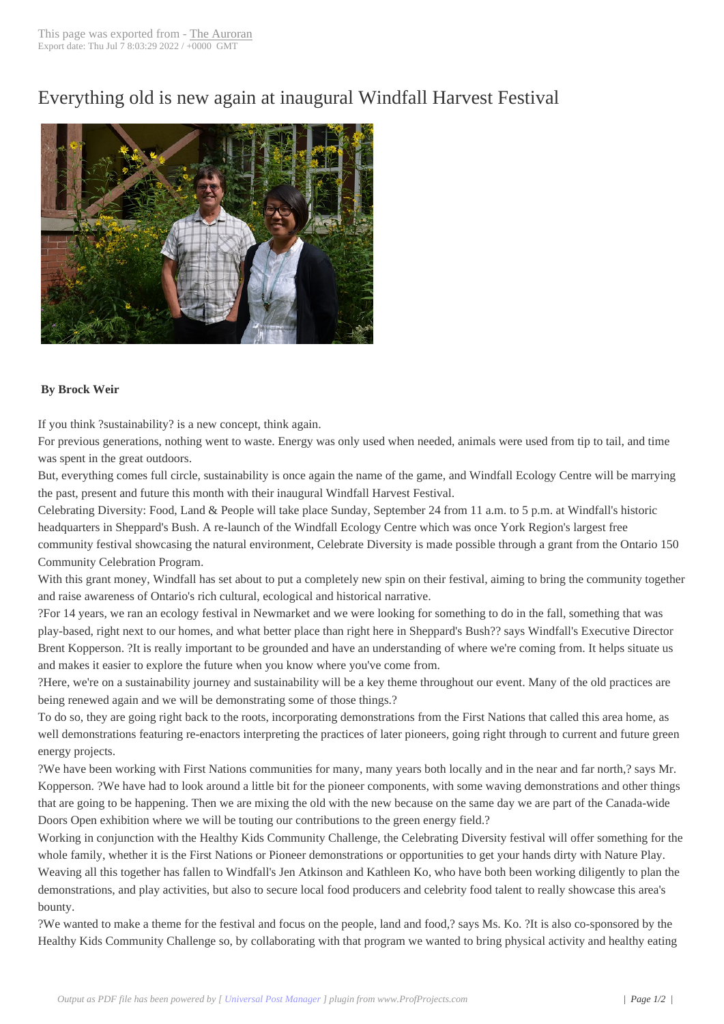## Everything old is n[ew again](http://www.newspapers-online.com/auroran/?p=18272) at inaugural Windfall Harvest Festival



## **By Brock Weir**

If you think ?sustainability? is a new concept, think again.

For previous generations, nothing went to waste. Energy was only used when needed, animals were used from tip to tail, and time was spent in the great outdoors.

But, everything comes full circle, sustainability is once again the name of the game, and Windfall Ecology Centre will be marrying the past, present and future this month with their inaugural Windfall Harvest Festival.

Celebrating Diversity: Food, Land & People will take place Sunday, September 24 from 11 a.m. to 5 p.m. at Windfall's historic headquarters in Sheppard's Bush. A re-launch of the Windfall Ecology Centre which was once York Region's largest free community festival showcasing the natural environment, Celebrate Diversity is made possible through a grant from the Ontario 150 Community Celebration Program.

With this grant money, Windfall has set about to put a completely new spin on their festival, aiming to bring the community together and raise awareness of Ontario's rich cultural, ecological and historical narrative.

?For 14 years, we ran an ecology festival in Newmarket and we were looking for something to do in the fall, something that was play-based, right next to our homes, and what better place than right here in Sheppard's Bush?? says Windfall's Executive Director Brent Kopperson. ?It is really important to be grounded and have an understanding of where we're coming from. It helps situate us and makes it easier to explore the future when you know where you've come from.

?Here, we're on a sustainability journey and sustainability will be a key theme throughout our event. Many of the old practices are being renewed again and we will be demonstrating some of those things.?

To do so, they are going right back to the roots, incorporating demonstrations from the First Nations that called this area home, as well demonstrations featuring re-enactors interpreting the practices of later pioneers, going right through to current and future green energy projects.

?We have been working with First Nations communities for many, many years both locally and in the near and far north,? says Mr. Kopperson. ?We have had to look around a little bit for the pioneer components, with some waving demonstrations and other things that are going to be happening. Then we are mixing the old with the new because on the same day we are part of the Canada-wide Doors Open exhibition where we will be touting our contributions to the green energy field.?

Working in conjunction with the Healthy Kids Community Challenge, the Celebrating Diversity festival will offer something for the whole family, whether it is the First Nations or Pioneer demonstrations or opportunities to get your hands dirty with Nature Play. Weaving all this together has fallen to Windfall's Jen Atkinson and Kathleen Ko, who have both been working diligently to plan the demonstrations, and play activities, but also to secure local food producers and celebrity food talent to really showcase this area's bounty.

?We wanted to make a theme for the festival and focus on the people, land and food,? says Ms. Ko. ?It is also co-sponsored by the Healthy Kids Community Challenge so, by collaborating with that program we wanted to bring physical activity and healthy eating